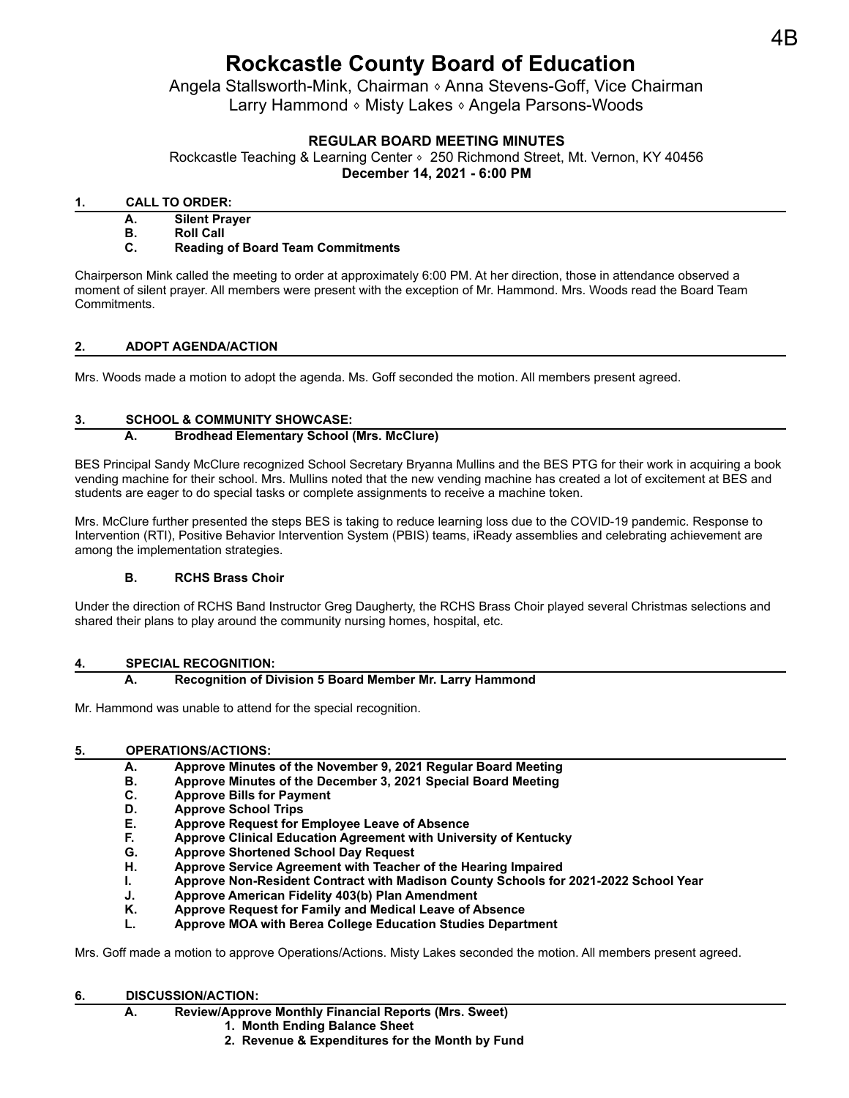# **Rockcastle County Board of Education**

Angela Stallsworth-Mink, Chairman <sup>®</sup> Anna Stevens-Goff, Vice Chairman Larry Hammond ⬧ Misty Lakes ⬧ Angela Parsons-Woods

## **REGULAR BOARD MEETING MINUTES**

Rockcastle Teaching & Learning Center ∘ 250 Richmond Street, Mt. Vernon, KY 40456 **December 14, 2021 - 6:00 PM**

## **1. CALL TO ORDER:**

**A. Silent Prayer**

**B. Roll Call**

## **C. Reading of Board Team Commitments**

Chairperson Mink called the meeting to order at approximately 6:00 PM. At her direction, those in attendance observed a moment of silent prayer. All members were present with the exception of Mr. Hammond. Mrs. Woods read the Board Team Commitments.

## **2. ADOPT AGENDA/ACTION**

Mrs. Woods made a motion to adopt the agenda. Ms. Goff seconded the motion. All members present agreed.

## **3. SCHOOL & COMMUNITY SHOWCASE:**

## **A. Brodhead Elementary School (Mrs. McClure)**

BES Principal Sandy McClure recognized School Secretary Bryanna Mullins and the BES PTG for their work in acquiring a book vending machine for their school. Mrs. Mullins noted that the new vending machine has created a lot of excitement at BES and students are eager to do special tasks or complete assignments to receive a machine token.

Mrs. McClure further presented the steps BES is taking to reduce learning loss due to the COVID-19 pandemic. Response to Intervention (RTI), Positive Behavior Intervention System (PBIS) teams, iReady assemblies and celebrating achievement are among the implementation strategies.

## **B. RCHS Brass Choir**

Under the direction of RCHS Band Instructor Greg Daugherty, the RCHS Brass Choir played several Christmas selections and shared their plans to play around the community nursing homes, hospital, etc.

## **4. SPECIAL RECOGNITION:**

## **A. Recognition of Division 5 Board Member Mr. Larry Hammond**

Mr. Hammond was unable to attend for the special recognition.

## **5. OPERATIONS/ACTIONS:**

- **A. Approve Minutes of the November 9, 2021 Regular Board Meeting**
- **B. Approve Minutes of the December 3, 2021 Special Board Meeting**
- **C. Approve Bills for Payment**
- **D. Approve School Trips**
- **E. Approve Request for Employee Leave of Absence**
- **F. Approve Clinical Education Agreement with University of Kentucky**
- **G. Approve Shortened School Day Request**
- **H. Approve Service Agreement with Teacher of the Hearing Impaired**
- **I. Approve Non-Resident Contract with Madison County Schools for 2021-2022 School Year**
- **J. Approve American Fidelity 403(b) Plan Amendment**
- **K. Approve Request for Family and Medical Leave of Absence**
- **L. Approve MOA with Berea College Education Studies Department**

Mrs. Goff made a motion to approve Operations/Actions. Misty Lakes seconded the motion. All members present agreed.

#### **6. DISCUSSION/ACTION:**

- **A. Review/Approve Monthly Financial Reports (Mrs. Sweet)**
	- **1. Month Ending Balance Sheet**
	- **2. Revenue & Expenditures for the Month by Fund**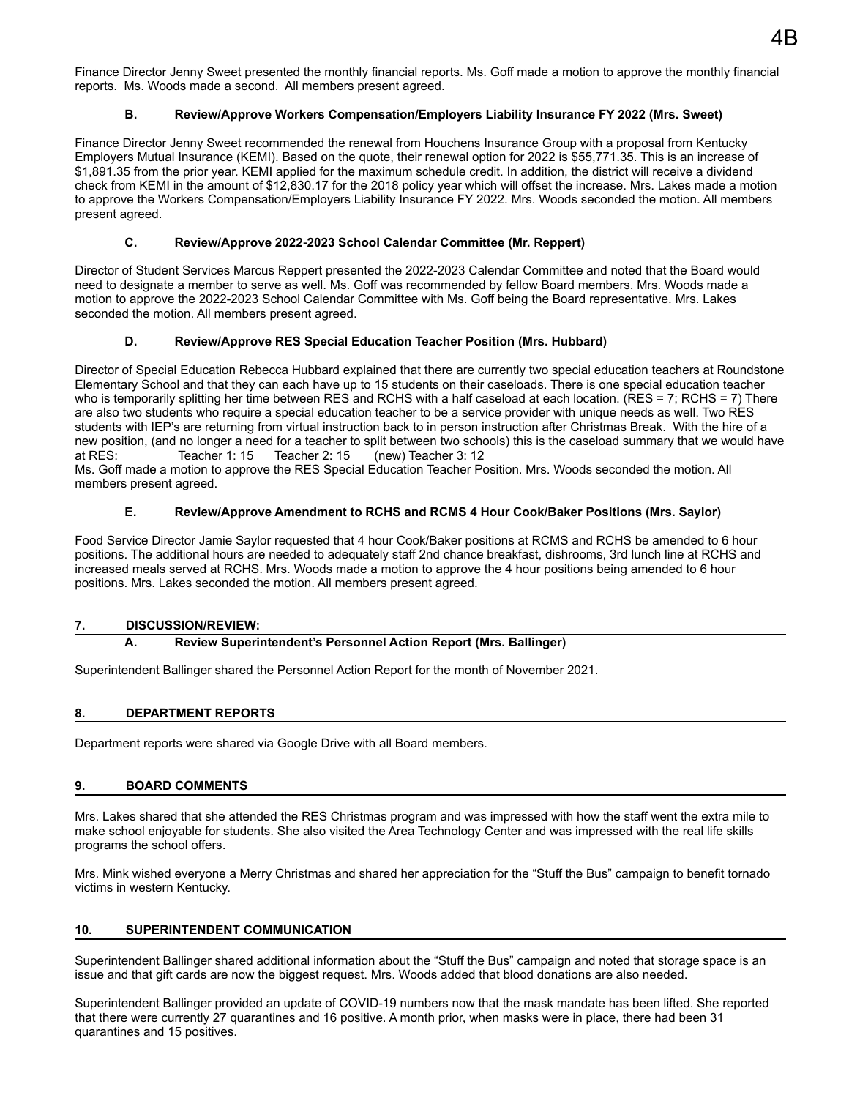Finance Director Jenny Sweet presented the monthly financial reports. Ms. Goff made a motion to approve the monthly financial reports. Ms. Woods made a second. All members present agreed.

## **B. Review/Approve Workers Compensation/Employers Liability Insurance FY 2022 (Mrs. Sweet)**

Finance Director Jenny Sweet recommended the renewal from Houchens Insurance Group with a proposal from Kentucky Employers Mutual Insurance (KEMI). Based on the quote, their renewal option for 2022 is \$55,771.35. This is an increase of \$1,891.35 from the prior year. KEMI applied for the maximum schedule credit. In addition, the district will receive a dividend check from KEMI in the amount of \$12,830.17 for the 2018 policy year which will offset the increase. Mrs. Lakes made a motion to approve the Workers Compensation/Employers Liability Insurance FY 2022. Mrs. Woods seconded the motion. All members present agreed.

#### **C. Review/Approve 2022-2023 School Calendar Committee (Mr. Reppert)**

Director of Student Services Marcus Reppert presented the 2022-2023 Calendar Committee and noted that the Board would need to designate a member to serve as well. Ms. Goff was recommended by fellow Board members. Mrs. Woods made a motion to approve the 2022-2023 School Calendar Committee with Ms. Goff being the Board representative. Mrs. Lakes seconded the motion. All members present agreed.

#### **D. Review/Approve RES Special Education Teacher Position (Mrs. Hubbard)**

Director of Special Education Rebecca Hubbard explained that there are currently two special education teachers at Roundstone Elementary School and that they can each have up to 15 students on their caseloads. There is one special education teacher who is temporarily splitting her time between RES and RCHS with a half caseload at each location. (RES = 7; RCHS = 7) There are also two students who require a special education teacher to be a service provider with unique needs as well. Two RES students with IEP's are returning from virtual instruction back to in person instruction after Christmas Break. With the hire of a new position, (and no longer a need for a teacher to split between two schools) this is the caseload summary that we would have at RES: Teacher 1: 15 Teacher 2: 15 (new) Teacher 3: 12

Ms. Goff made a motion to approve the RES Special Education Teacher Position. Mrs. Woods seconded the motion. All members present agreed.

#### **E. Review/Approve Amendment to RCHS and RCMS 4 Hour Cook/Baker Positions (Mrs. Saylor)**

Food Service Director Jamie Saylor requested that 4 hour Cook/Baker positions at RCMS and RCHS be amended to 6 hour positions. The additional hours are needed to adequately staff 2nd chance breakfast, dishrooms, 3rd lunch line at RCHS and increased meals served at RCHS. Mrs. Woods made a motion to approve the 4 hour positions being amended to 6 hour positions. Mrs. Lakes seconded the motion. All members present agreed.

#### **7. DISCUSSION/REVIEW:**

#### **A. Review Superintendent's Personnel Action Report (Mrs. Ballinger)**

Superintendent Ballinger shared the Personnel Action Report for the month of November 2021.

## **8. DEPARTMENT REPORTS**

Department reports were shared via Google Drive with all Board members.

#### **9. BOARD COMMENTS**

Mrs. Lakes shared that she attended the RES Christmas program and was impressed with how the staff went the extra mile to make school enjoyable for students. She also visited the Area Technology Center and was impressed with the real life skills programs the school offers.

Mrs. Mink wished everyone a Merry Christmas and shared her appreciation for the "Stuff the Bus" campaign to benefit tornado victims in western Kentucky.

#### **10. SUPERINTENDENT COMMUNICATION**

Superintendent Ballinger shared additional information about the "Stuff the Bus" campaign and noted that storage space is an issue and that gift cards are now the biggest request. Mrs. Woods added that blood donations are also needed.

Superintendent Ballinger provided an update of COVID-19 numbers now that the mask mandate has been lifted. She reported that there were currently 27 quarantines and 16 positive. A month prior, when masks were in place, there had been 31 quarantines and 15 positives.